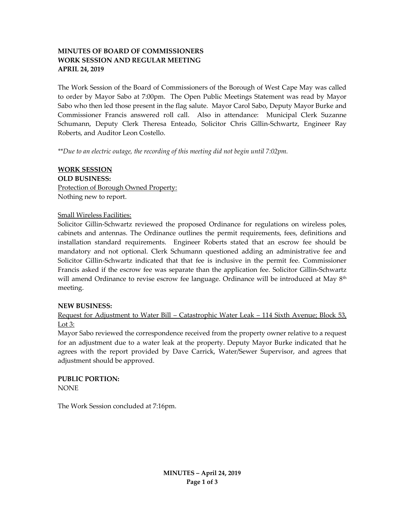# **MINUTES OF BOARD OF COMMISSIONERS WORK SESSION AND REGULAR MEETING APRIL 24, 2019**

The Work Session of the Board of Commissioners of the Borough of West Cape May was called to order by Mayor Sabo at 7:00pm. The Open Public Meetings Statement was read by Mayor Sabo who then led those present in the flag salute. Mayor Carol Sabo, Deputy Mayor Burke and Commissioner Francis answered roll call. Also in attendance: Municipal Clerk Suzanne Schumann, Deputy Clerk Theresa Enteado, Solicitor Chris Gillin-Schwartz, Engineer Ray Roberts, and Auditor Leon Costello.

*\*\*Due to an electric outage, the recording of this meeting did not begin until 7:02pm.*

# **WORK SESSION OLD BUSINESS:** Protection of Borough Owned Property: Nothing new to report.

## Small Wireless Facilities:

Solicitor Gillin-Schwartz reviewed the proposed Ordinance for regulations on wireless poles, cabinets and antennas. The Ordinance outlines the permit requirements, fees, definitions and installation standard requirements. Engineer Roberts stated that an escrow fee should be mandatory and not optional. Clerk Schumann questioned adding an administrative fee and Solicitor Gillin-Schwartz indicated that that fee is inclusive in the permit fee. Commissioner Francis asked if the escrow fee was separate than the application fee. Solicitor Gillin-Schwartz will amend Ordinance to revise escrow fee language. Ordinance will be introduced at May 8<sup>th</sup> meeting.

#### **NEW BUSINESS:**

Request for Adjustment to Water Bill – Catastrophic Water Leak – 114 Sixth Avenue; Block 53, Lot 3:

Mayor Sabo reviewed the correspondence received from the property owner relative to a request for an adjustment due to a water leak at the property. Deputy Mayor Burke indicated that he agrees with the report provided by Dave Carrick, Water/Sewer Supervisor, and agrees that adjustment should be approved.

#### **PUBLIC PORTION:** NONE

The Work Session concluded at 7:16pm.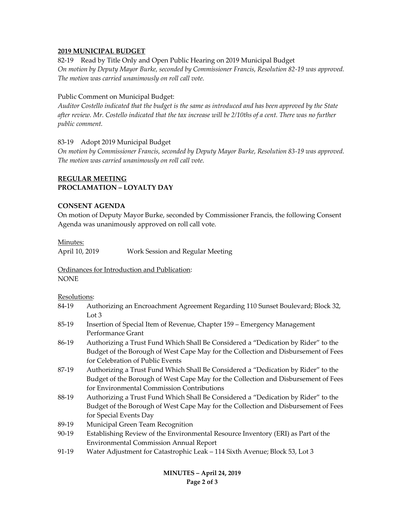### **2019 MUNICIPAL BUDGET**

82-19 Read by Title Only and Open Public Hearing on 2019 Municipal Budget *On motion by Deputy Mayor Burke, seconded by Commissioner Francis, Resolution 82-19 was approved. The motion was carried unanimously on roll call vote.*

### Public Comment on Municipal Budget:

*Auditor Costello indicated that the budget is the same as introduced and has been approved by the State after review. Mr. Costello indicated that the tax increase will be 2/10ths of a cent. There was no further public comment.*

### 83-19 Adopt 2019 Municipal Budget

*On motion by Commissioner Francis, seconded by Deputy Mayor Burke, Resolution 83-19 was approved. The motion was carried unanimously on roll call vote.*

## **REGULAR MEETING PROCLAMATION – LOYALTY DAY**

#### **CONSENT AGENDA**

On motion of Deputy Mayor Burke, seconded by Commissioner Francis, the following Consent Agenda was unanimously approved on roll call vote.

#### Minutes:

April 10, 2019 Work Session and Regular Meeting

Ordinances for Introduction and Publication: NONE

Resolutions:

- 84-19 Authorizing an Encroachment Agreement Regarding 110 Sunset Boulevard; Block 32, Lot 3
- 85-19 Insertion of Special Item of Revenue, Chapter 159 Emergency Management Performance Grant
- 86-19 Authorizing a Trust Fund Which Shall Be Considered a "Dedication by Rider" to the Budget of the Borough of West Cape May for the Collection and Disbursement of Fees for Celebration of Public Events
- 87-19 Authorizing a Trust Fund Which Shall Be Considered a "Dedication by Rider" to the Budget of the Borough of West Cape May for the Collection and Disbursement of Fees for Environmental Commission Contributions
- 88-19 Authorizing a Trust Fund Which Shall Be Considered a "Dedication by Rider" to the Budget of the Borough of West Cape May for the Collection and Disbursement of Fees for Special Events Day
- 89-19 Municipal Green Team Recognition
- 90-19 Establishing Review of the Environmental Resource Inventory (ERI) as Part of the Environmental Commission Annual Report
- 91-19 Water Adjustment for Catastrophic Leak 114 Sixth Avenue; Block 53, Lot 3